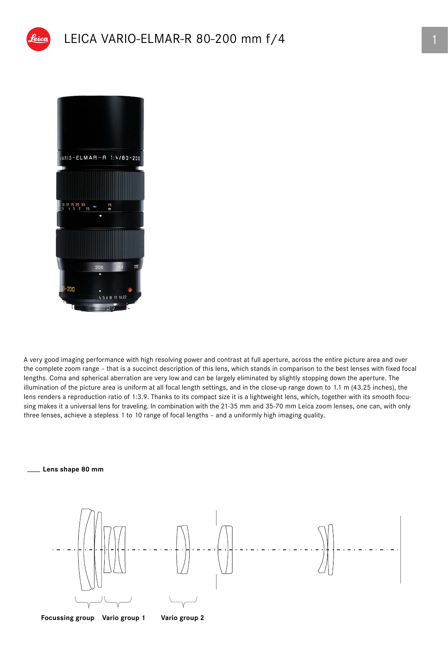



A very good imaging performance with high resolving power and contrast at full aperture, across the entire picture area and over the complete zoom range – that is a succinct description of this lens, which stands in comparison to the best lenses with fixed focal lengths. Coma and spherical aberration are very low and can be largely eliminated by slightly stopping down the aperture. The illumination of the picture area is uniform at all focal length settings, and in the close-up range down to 1.1 m (43.25 inches), the lens renders a reproduction ratio of 1:3.9. Thanks to its compact size it is a lightweight lens, which, together with its smooth focusing makes it a universal lens for traveling. In combination with the 21-35 mm and 35-70 mm Leica zoom lenses, one can, with only three lenses, achieve a stepless 1 to 10 range of focal lengths – and a uniformly high imaging quality.



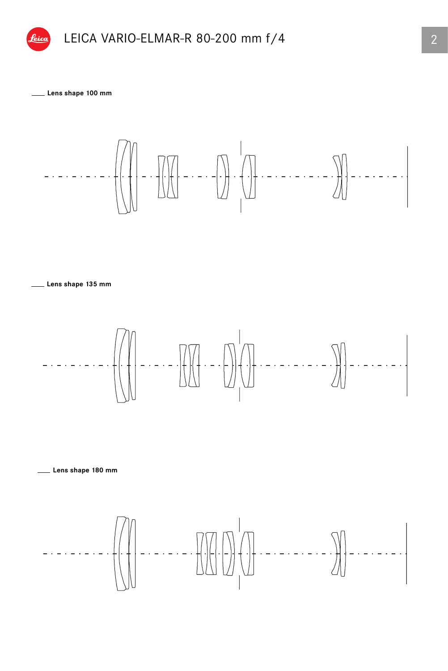

**Lens shape 100 mm**



**Lens shape 135 mm**



**Lens shape 180 mm**

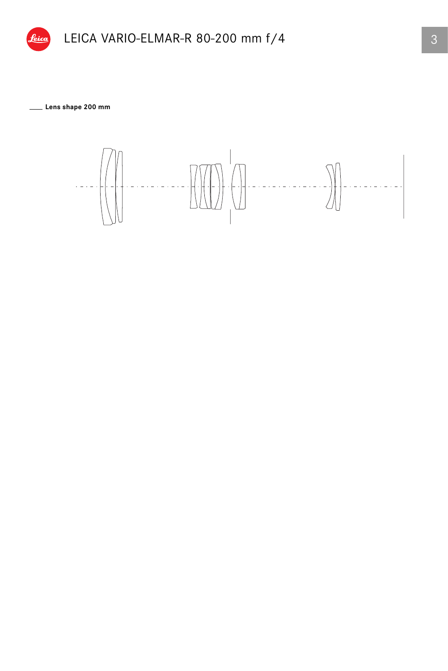

**Lens shape 200 mm**

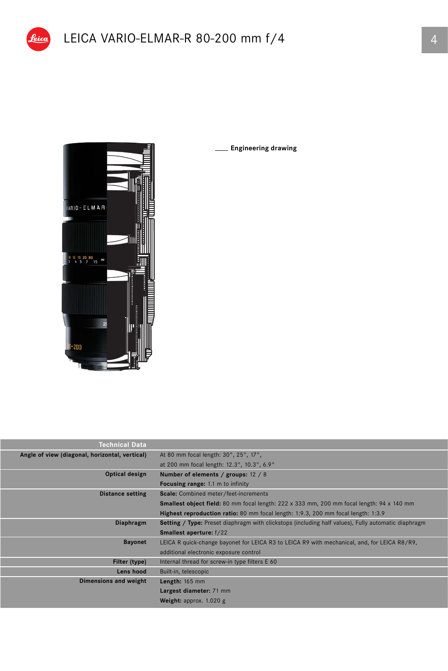

**Engineering drawing**

| Technical Data                                 |                                                                                                            |
|------------------------------------------------|------------------------------------------------------------------------------------------------------------|
| Angle of view (diagonal, horizontal, vertical) | At 80 mm focal length: 30°, 25°, 17°,                                                                      |
|                                                | at 200 mm focal length: 12.3°, 10.3°, 6.9°                                                                 |
| Optical design                                 | Number of elements / groups: 12 / 8                                                                        |
|                                                | <b>Focusing range:</b> 1.1 m to infinity                                                                   |
| <b>Distance setting</b>                        | Scale: Combined meter/feet-increments                                                                      |
|                                                | <b>Smallest object field:</b> 80 mm focal length: 222 x 333 mm, 200 mm focal length: 94 x 140 mm           |
|                                                | Highest reproduction ratio: 80 mm focal length: 1:9.3, 200 mm focal length: 1:3.9                          |
| Diaphragm                                      | <b>Setting / Type:</b> Preset diaphragm with clickstops (including half values), Fully automatic diaphragm |
|                                                | <b>Smallest aperture:</b> f/22                                                                             |
| <b>Bayonet</b>                                 | LEICA R quick-change bayonet for LEICA R3 to LEICA R9 with mechanical, and, for LEICA R8/R9,               |
|                                                | additional electronic exposure control                                                                     |
| Filter (type)                                  | Internal thread for screw-in type filters E 60                                                             |
| Lens hood                                      | Built-in, telescopic                                                                                       |
| Dimensions and weight                          | Length: 165 mm                                                                                             |
|                                                | Largest diameter: 71 mm                                                                                    |
|                                                | Weight: approx. 1.020 g                                                                                    |
|                                                |                                                                                                            |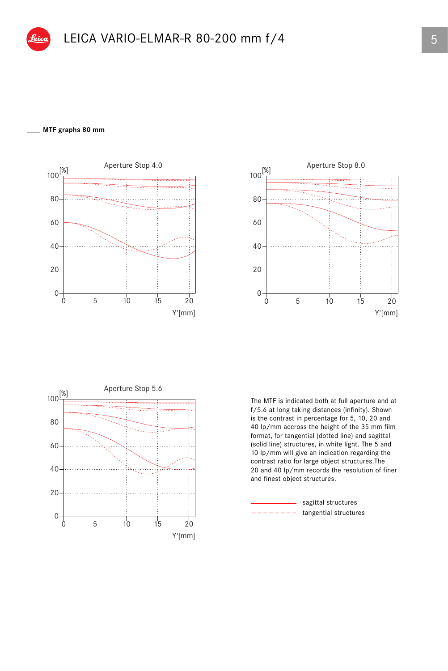## **MTF graphs 80 mm**







The MTF is indicated both at full aperture and at f/5.6 at long taking distances (infinity). Shown is the contrast in percentage for 5, 10, 20 and 40 lp/mm accross the height of the 35 mm film format, for tangential (dotted line) and sagittal (solid line) structures, in white light. The 5 and 10 lp/mm will give an indication regarding the contrast ratio for large object structures.The 20 and 40 lp/mm records the resolution of finer and finest object structures.

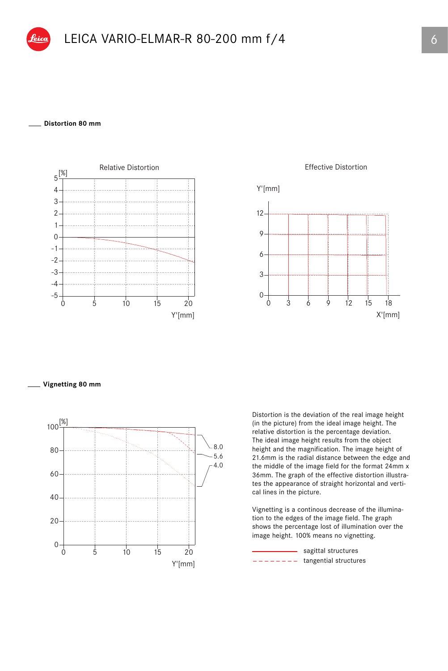

## **Distortion 80 mm**





**Vignetting 80 mm**



Distortion is the deviation of the real image height (in the picture) from the ideal image height. The relative distortion is the percentage deviation. The ideal image height results from the object height and the magnification. The image height of 21.6mm is the radial distance between the edge and the middle of the image field for the format 24mm x 36mm. The graph of the effective distortion illustrates the appearance of straight horizontal and vertical lines in the picture.

Vignetting is a continous decrease of the illumination to the edges of the image field. The graph shows the percentage lost of illumination over the image height. 100% means no vignetting.

 $------$  tangential structures sagittal structures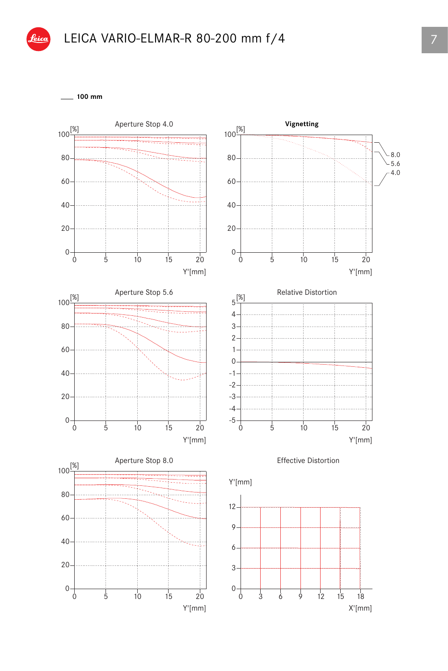

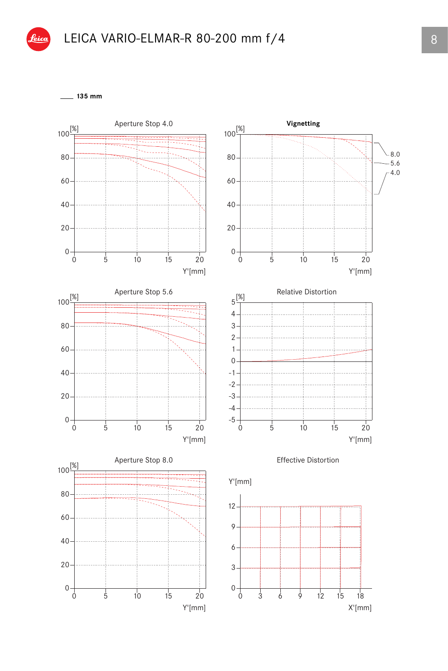

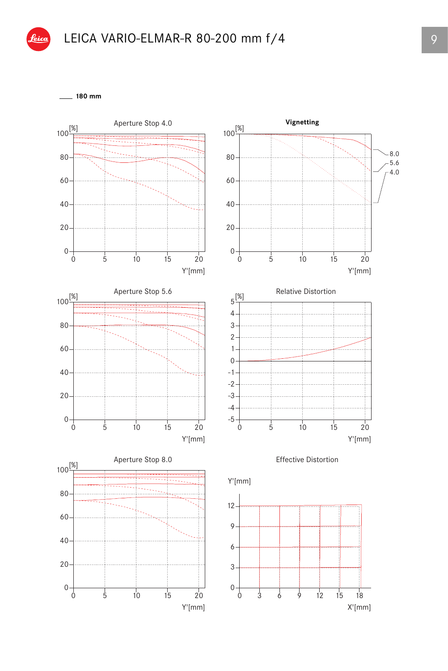

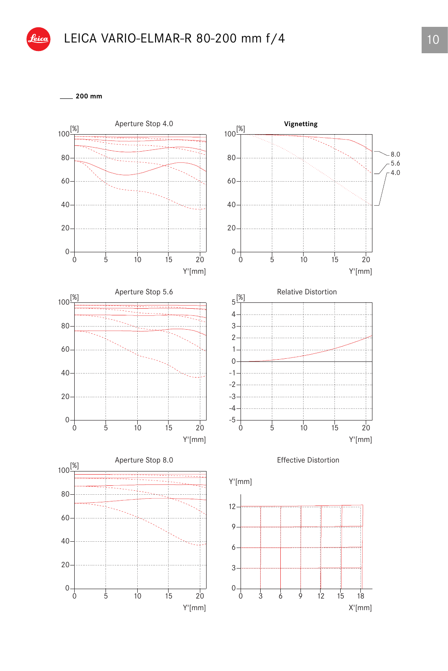

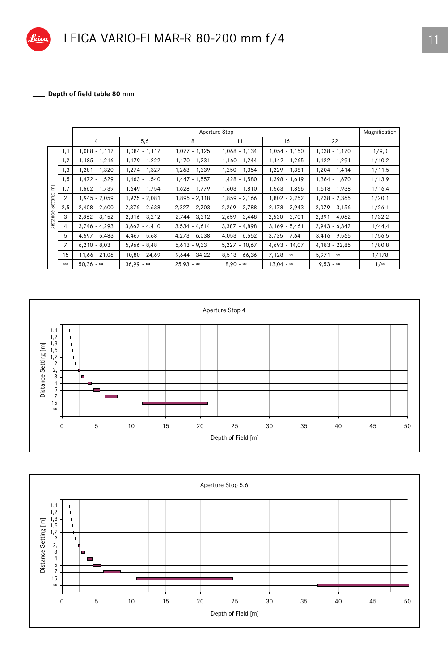

## Depth of field table 80 mm

|                                  |                | Aperture Stop    |                  |                  |                  |                  |                  | Magnification |
|----------------------------------|----------------|------------------|------------------|------------------|------------------|------------------|------------------|---------------|
|                                  |                | $\overline{4}$   | 5,6              | 8                | 11               | 16               | 22               |               |
| $\overline{\text{E}}$<br>Setting | 1,1            | 1,088 - 1,112    | 1,084 - 1,117    | $1,077 - 1,125$  | $1,068 - 1,134$  | $1,054 - 1,150$  | $1,038 - 1,170$  | 1/9,0         |
|                                  | 1,2            | $1,185 - 1,216$  | 1,179 - 1,222    | $1,170 - 1,231$  | $1,160 - 1,244$  | $1,142 - 1,265$  | $1,122 - 1,291$  | 1/10,2        |
|                                  | 1,3            | $1,281 - 1,320$  | 1,274 - 1,327    | $1,263 - 1,339$  | $1,250 - 1,354$  | $1,229 - 1,381$  | $1,204 - 1,414$  | 1/11,5        |
|                                  | 1,5            | 1,472 - 1,529    | 1,463 - 1,540    | $1,447 - 1,557$  | $1,428 - 1,580$  | $1,398 - 1,619$  | $1,364 - 1,670$  | 1/13,9        |
|                                  | 1,7            | $1,662 - 1,739$  | $1,649 - 1,754$  | $1,628 - 1,779$  | $1,603 - 1,810$  | $1,563 - 1,866$  | $1,518 - 1,938$  | 1/16,4        |
|                                  | 2              | $1,945 - 2,059$  | $1,925 - 2,081$  | $1,895 - 2,118$  | $1,859 - 2,166$  | $1,802 - 2,252$  | $1,738 - 2,365$  | 1/20,1        |
|                                  | 2,5            | $2,408 - 2,600$  | $2,376 - 2,638$  | $2,327 - 2,703$  | $2,269 - 2,788$  | $2,178 - 2,943$  | $2,079 - 3,156$  | 1/26,1        |
| Distance                         | 3              | $2,862 - 3,152$  | $2,816 - 3,212$  | $2,744 - 3,312$  | $2,659 - 3,448$  | $2,530 - 3,701$  | $2,391 - 4,062$  | 1/32,2        |
|                                  | 4              | $3,746 - 4,293$  | $3,662 - 4,410$  | $3,534 - 4,614$  | $3,387 - 4,898$  | $3,169 - 5,461$  | $2,943 - 6,342$  | 1/44,4        |
|                                  | 5              | $4,597 - 5,483$  | $4,467 - 5,68$   | $4,273 - 6,038$  | $4,053 - 6,552$  | $3,735 - 7,64$   | $3,416 - 9,565$  | 1/56,5        |
|                                  | $\overline{7}$ | $6,210 - 8,03$   | $5,966 - 8,48$   | $5,613 - 9,33$   | $5,227 - 10,67$  | $4,693 - 14,07$  | $4,183 - 22,85$  | 1/80,8        |
|                                  | 15             | $11,66 - 21,06$  | $10,80 - 24,69$  | $9,644 - 34,22$  | $8,513 - 66,36$  | $7,128 - \infty$ | $5,971 - \infty$ | 1/178         |
|                                  | $\infty$       | $50,36 - \infty$ | $36,99 - \infty$ | $25,93 - \infty$ | $18,90 - \infty$ | $13,04 - \infty$ | $9,53 - \infty$  | $1/\infty$    |



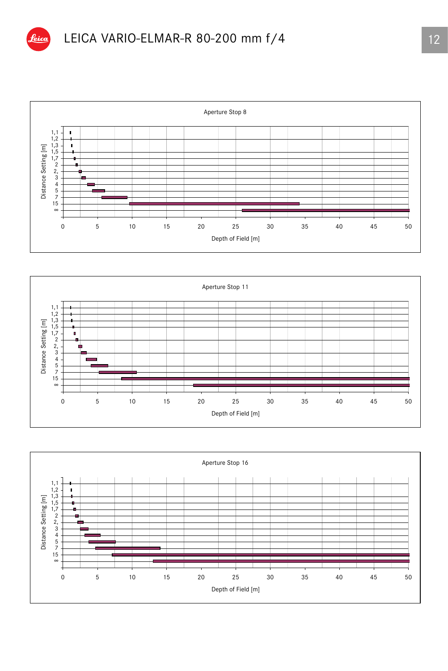





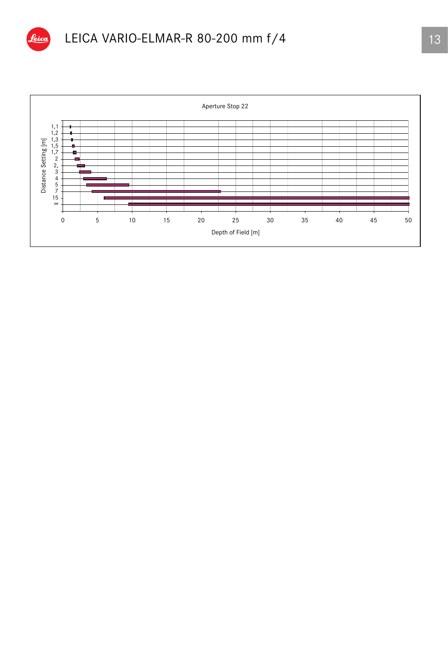

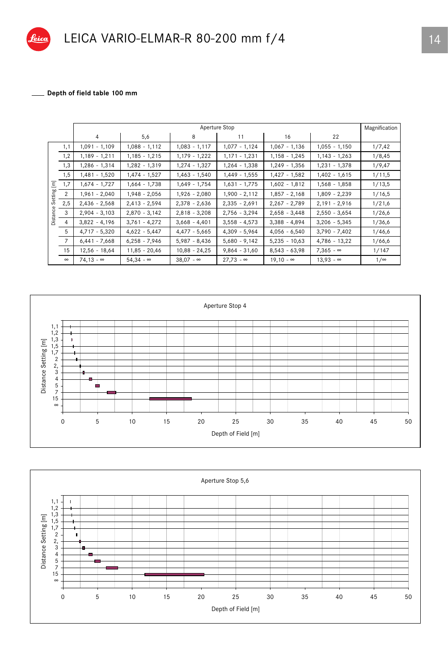

## Depth of field table 100 mm

|                       |                | Aperture Stop    |                  |                  |                  |                  |                  | Magnification |
|-----------------------|----------------|------------------|------------------|------------------|------------------|------------------|------------------|---------------|
|                       |                | 4                | 5,6              | 8                | 11               | 16               | 22               |               |
|                       | 1,1            | $1,091 - 1,109$  | $1,088 - 1,112$  | $1,083 - 1,117$  | $1,077 - 1,124$  | $1,067 - 1,136$  | $1,055 - 1,150$  | 1/7,42        |
|                       | 1,2            | $1,189 - 1,211$  | $1,185 - 1,215$  | $1,179 - 1,222$  | $1,171 - 1,231$  | $1,158 - 1,245$  | $1,143 - 1,263$  | 1/8,45        |
|                       | 1,3            | $1,286 - 1,314$  | 1,282 - 1,319    | $1,274 - 1,327$  | $1,264 - 1,338$  | $1,249 - 1,356$  | $1,231 - 1,378$  | 1/9,47        |
|                       | 1,5            | 1,481 - 1,520    | $1,474 - 1,527$  | $1,463 - 1,540$  | $1,449 - 1,555$  | $1,427 - 1,582$  | $1,402 - 1,615$  | 1/11,5        |
| $\overline{\text{E}}$ | 1,7            | 1,674 - 1,727    | $1,664 - 1,738$  | $1,649 - 1,754$  | $1,631 - 1,775$  | $1,602 - 1,812$  | $1,568 - 1,858$  | 1/13,5        |
| Setting               | 2              | $1,961 - 2,040$  | $1,948 - 2,056$  | $1,926 - 2,080$  | $1,900 - 2,112$  | $1,857 - 2,168$  | $1,809 - 2,239$  | 1/16,5        |
|                       | 2,5            | $2,436 - 2,568$  | $2,413 - 2,594$  | $2,378 - 2,636$  | $2,335 - 2,691$  | $2,267 - 2,789$  | $2,191 - 2,916$  | 1/21,6        |
| Distance              | 3              | $2,904 - 3,103$  | $2,870 - 3,142$  | $2,818 - 3,208$  | $2,756 - 3,294$  | $2,658 - 3,448$  | $2,550 - 3,654$  | 1/26,6        |
|                       | 4              | $3,822 - 4,196$  | $3,761 - 4,272$  | $3,668 - 4,401$  | $3,558 - 4,573$  | $3,388 - 4,894$  | $3,206 - 5,345$  | 1/36,6        |
|                       | 5              | $4,717 - 5,320$  | $4,622 - 5,447$  | $4,477 - 5,665$  | $4,309 - 5,964$  | $4,056 - 6,540$  | $3,790 - 7,402$  | 1/46,6        |
|                       | $\overline{7}$ | $6,441 - 7,668$  | $6,258 - 7,946$  | $5,987 - 8,436$  | $5,680 - 9,142$  | $5,235 - 10,63$  | $4,786 - 13,22$  | 1/66,6        |
|                       | 15             | $12,56 - 18,64$  | $11,85 - 20,46$  | $10,88 - 24,25$  | $9,864 - 31,60$  | $8,543 - 63,98$  | $7,365 - \infty$ | 1/147         |
|                       | $\infty$       | $74,13 - \infty$ | $54.34 - \infty$ | $38.07 - \infty$ | $27,73 - \infty$ | $19.10 - \infty$ | $13.93 - \infty$ | $1/\infty$    |



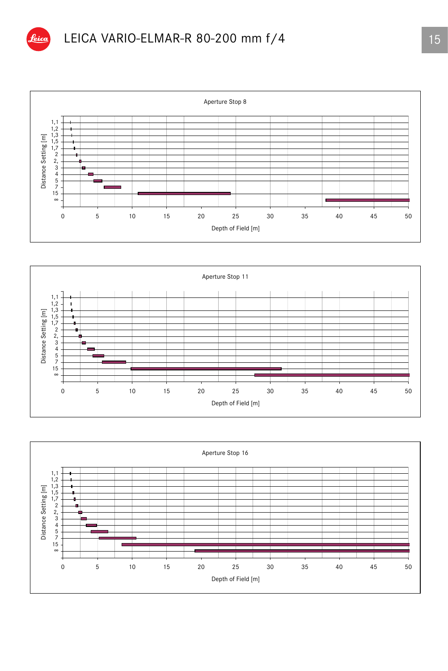





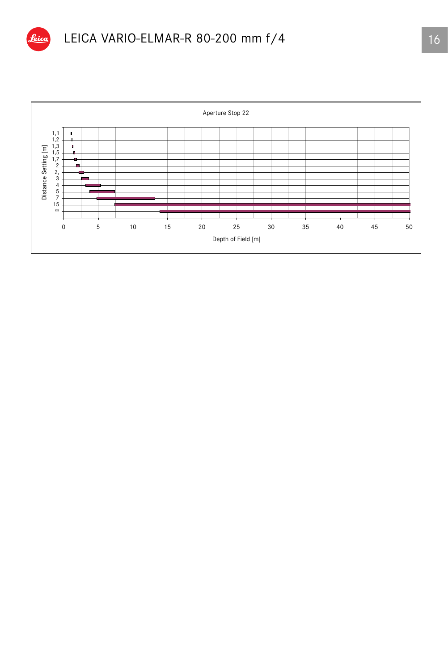